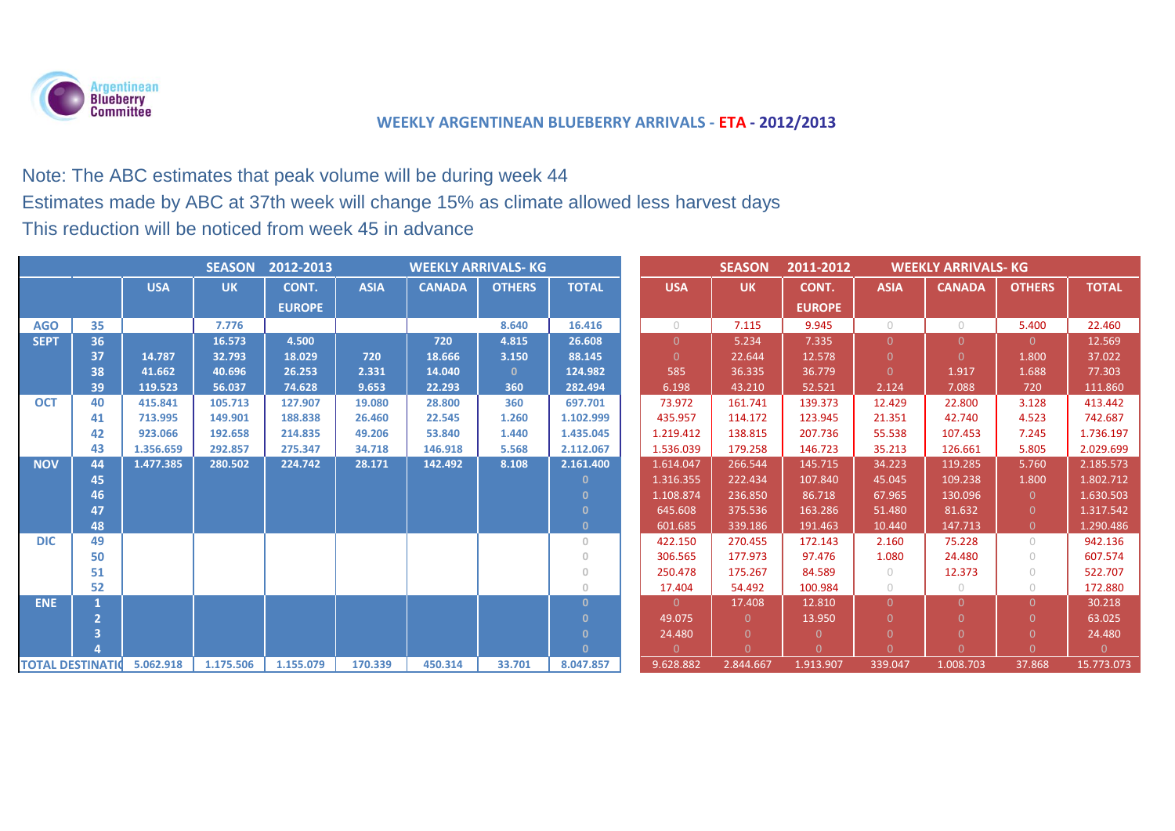

# Note: The ABC estimates that peak volume will be during week 44

## Estimates made by ABC at 37th week will change 15% as climate allowed less harvest days

This reduction will be noticed from week 45 in advance

| <b>SEASON</b><br>2012-2013<br><b>WEEKLY ARRIVALS- KG</b> |    |            |           |               |             |               |               |                | <b>SEASON</b> | 2011-2012      | <b>WEEKLY ARRIVALS- KG</b> |                |               |               |              |
|----------------------------------------------------------|----|------------|-----------|---------------|-------------|---------------|---------------|----------------|---------------|----------------|----------------------------|----------------|---------------|---------------|--------------|
|                                                          |    | <b>USA</b> | <b>UK</b> | CONT.         | <b>ASIA</b> | <b>CANADA</b> | <b>OTHERS</b> | <b>TOTAL</b>   | <b>USA</b>    | <b>UK</b>      | CONT.                      | <b>ASIA</b>    | <b>CANADA</b> | <b>OTHERS</b> | <b>TOTAL</b> |
|                                                          |    |            |           | <b>EUROPE</b> |             |               |               |                |               |                | <b>EUROPE</b>              |                |               |               |              |
| <b>AGO</b>                                               | 35 |            | 7.776     |               |             |               | 8.640         | 16.416         | $\bigcap$     | 7.115          | 9.945                      | $\bigcap$      | $\bigcirc$    | 5.400         | 22.460       |
| <b>SEPT</b>                                              | 36 |            | 16.573    | 4.500         |             | 720           | 4.815         | 26.608         | $\Omega$      | 5.234          | 7.335                      | 0              | $\Omega$      | $\Omega$      | 12.569       |
|                                                          | 37 | 14.787     | 32.793    | 18.029        | 720         | 18.666        | 3.150         | 88.145         | $\Omega$      | 22.644         | 12.578                     | $\overline{0}$ | $\Omega$      | 1.800         | 37.022       |
|                                                          | 38 | 41.662     | 40.696    | 26.253        | 2.331       | 14.040        | $\Omega$      | 124.982        | 585           | 36.335         | 36.779                     | $\Omega$       | 1.917         | 1.688         | 77.303       |
|                                                          | 39 | 119.523    | 56.037    | 74.628        | 9.653       | 22.293        | 360           | 282.494        | 6.198         | 43.210         | 52.521                     | 2.124          | 7.088         | 720           | 111.860      |
| <b>OCT</b>                                               | 40 | 415.841    | 105.713   | 127.907       | 19.080      | 28.800        | 360           | 697.701        | 73.972        | 161.741        | 139.373                    | 12.429         | 22.800        | 3.128         | 413.442      |
|                                                          | 41 | 713.995    | 149.901   | 188.838       | 26.460      | 22.545        | 1.260         | 1.102.999      | 435.957       | 114.172        | 123.945                    | 21.351         | 42.740        | 4.523         | 742.687      |
|                                                          | 42 | 923.066    | 192.658   | 214.835       | 49.206      | 53.840        | 1.440         | 1.435.045      | 1.219.412     | 138.815        | 207.736                    | 55.538         | 107.453       | 7.245         | 1.736.197    |
|                                                          | 43 | 1.356.659  | 292.857   | 275.347       | 34.718      | 146.918       | 5.568         | 2.112.067      | 1.536.039     | 179.258        | 146.723                    | 35.213         | 126.661       | 5.805         | 2.029.699    |
| <b>NOV</b>                                               | 44 | 1.477.385  | 280.502   | 224.742       | 28.171      | 142.492       | 8.108         | 2.161.400      | 1.614.047     | 266.544        | 145.715                    | 34.223         | 119.285       | 5.760         | 2.185.573    |
|                                                          | 45 |            |           |               |             |               |               | -0             | 1.316.355     | 222.434        | 107.840                    | 45.045         | 109.238       | 1.800         | 1.802.712    |
|                                                          | 46 |            |           |               |             |               |               | $\Omega$       | 1.108.874     | 236.850        | 86.718                     | 67.965         | 130.096       | $\Omega$      | 1.630.503    |
|                                                          | 47 |            |           |               |             |               |               | $\mathbf{0}$   | 645.608       | 375.536        | 163.286                    | 51.480         | 81.632        | $\Omega$      | 1.317.542    |
|                                                          | 48 |            |           |               |             |               |               | $\mathbf{0}$   | 601.685       | 339.186        | 191.463                    | 10.440         | 147.713       | $\Omega$      | 1.290.486    |
| <b>DIC</b>                                               | 49 |            |           |               |             |               |               | $\overline{0}$ | 422.150       | 270.455        | 172.143                    | 2.160          | 75.228        | $\bigcirc$    | 942.136      |
|                                                          | 50 |            |           |               |             |               |               | $\Omega$       | 306.565       | 177.973        | 97.476                     | 1.080          | 24.480        | $\bigcap$     | 607.574      |
|                                                          | 51 |            |           |               |             |               |               | $\overline{0}$ | 250.478       | 175.267        | 84.589                     | $\circ$        | 12.373        | $\bigcap$     | 522.707      |
|                                                          | 52 |            |           |               |             |               |               | $\overline{0}$ | 17.404        | 54.492         | 100.984                    | $\circ$        | $\circ$       | $\circ$       | 172.880      |
| <b>ENE</b>                                               |    |            |           |               |             |               |               | $\Omega$       | $\Omega$      | 17.408         | 12.810                     | 0.             | $\Omega$      | $\Omega$      | 30.218       |
|                                                          |    |            |           |               |             |               |               | $\Omega$       | 49.075        | $\Omega$       | 13.950                     | 0              | $\Omega$      | $\Omega$      | 63.025       |
|                                                          |    |            |           |               |             |               |               | $\mathbf{0}$   | 24.480        | $\Omega$       | $\Omega$                   |                |               |               | 24.480       |
|                                                          |    |            |           |               |             |               |               | $\Omega$       | $\Omega$      | $\overline{0}$ | $\Omega$                   | U              |               |               | $\Omega$     |
| <b>TOTAL DESTINATION</b>                                 |    | 5.062.918  | 1.175.506 | 1.155.079     | 170.339     | 450.314       | 33.701        | 8.047.857      | 9.628.882     | 2.844.667      | 1.913.907                  | 339.047        | 1.008.703     | 37.868        | 15.773.073   |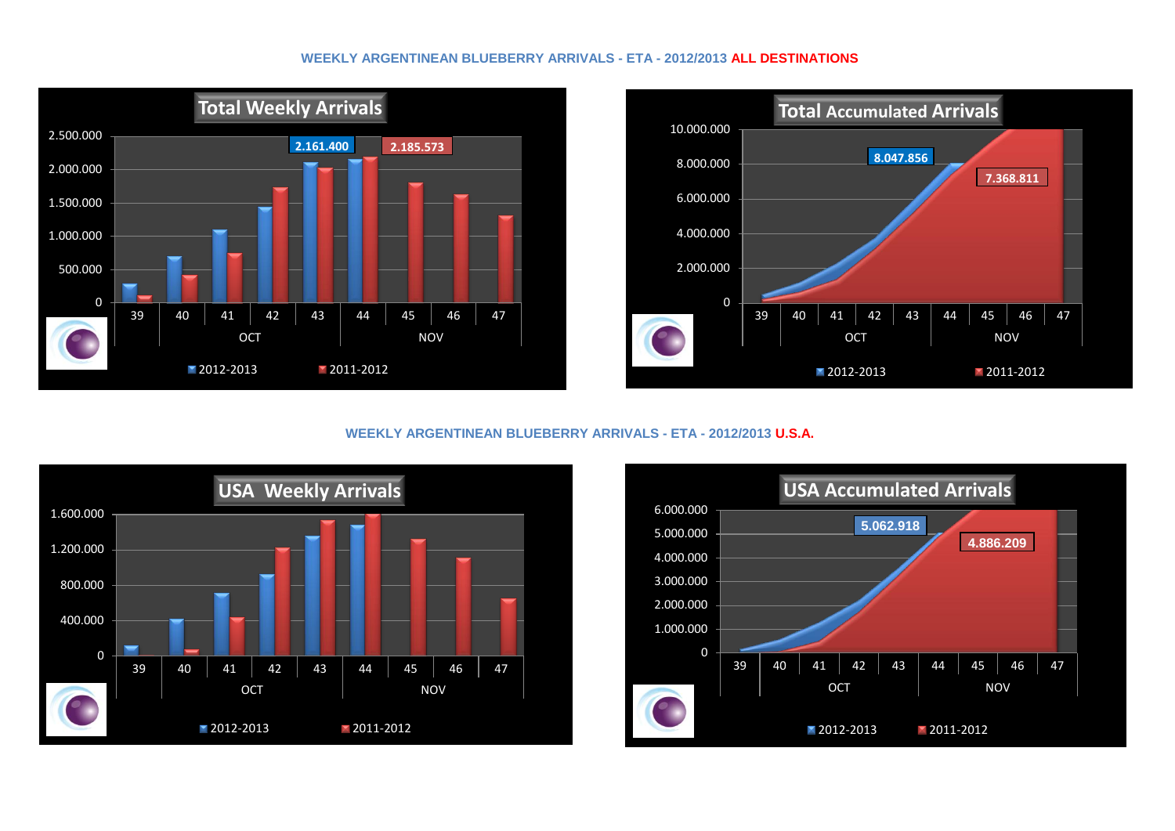#### **WEEKLY ARGENTINEAN BLUEBERRY ARRIVALS - ETA - 2012/2013 ALL DESTINATIONS**





#### **WEEKLY ARGENTINEAN BLUEBERRY ARRIVALS - ETA - 2012/2013 U.S.A.**



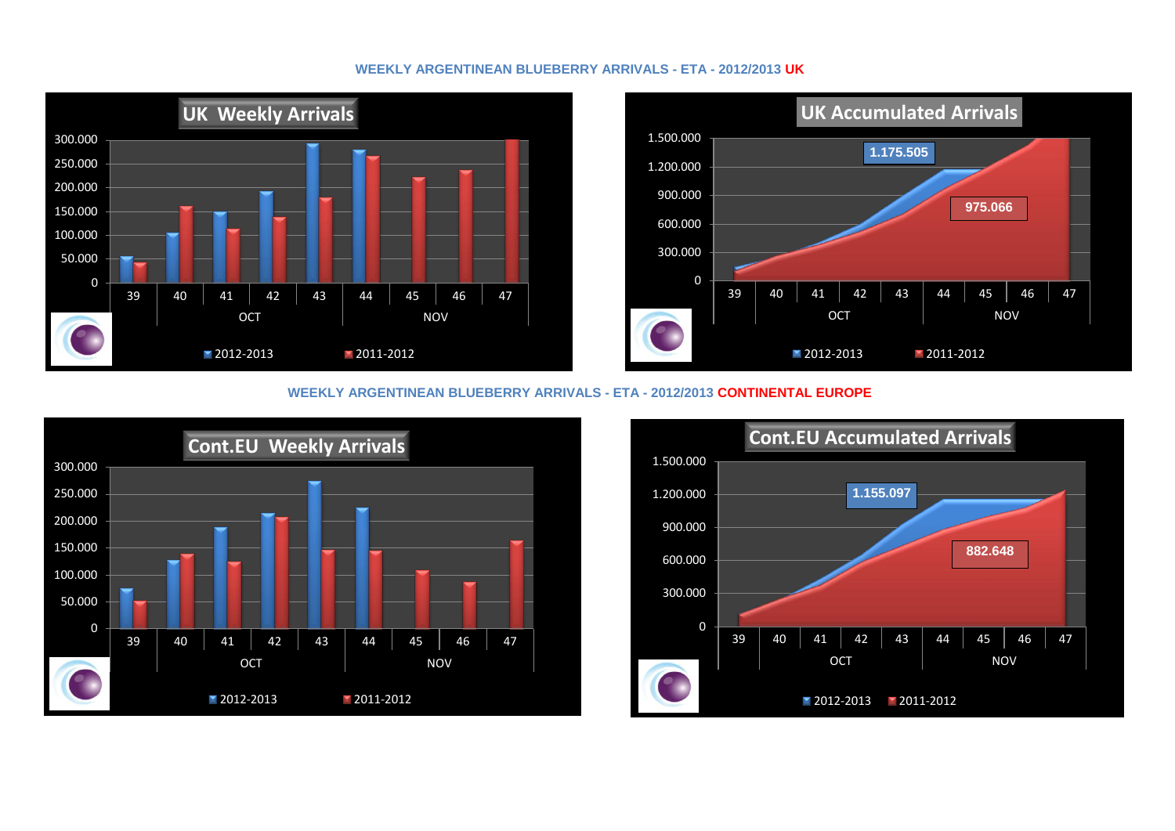#### **WEEKLY ARGENTINEAN BLUEBERRY ARRIVALS - ETA - 2012/2013 UK**



#### **WEEKLY ARGENTINEAN BLUEBERRY ARRIVALS - ETA - 2012/2013 CONTINENTAL EUROPE**



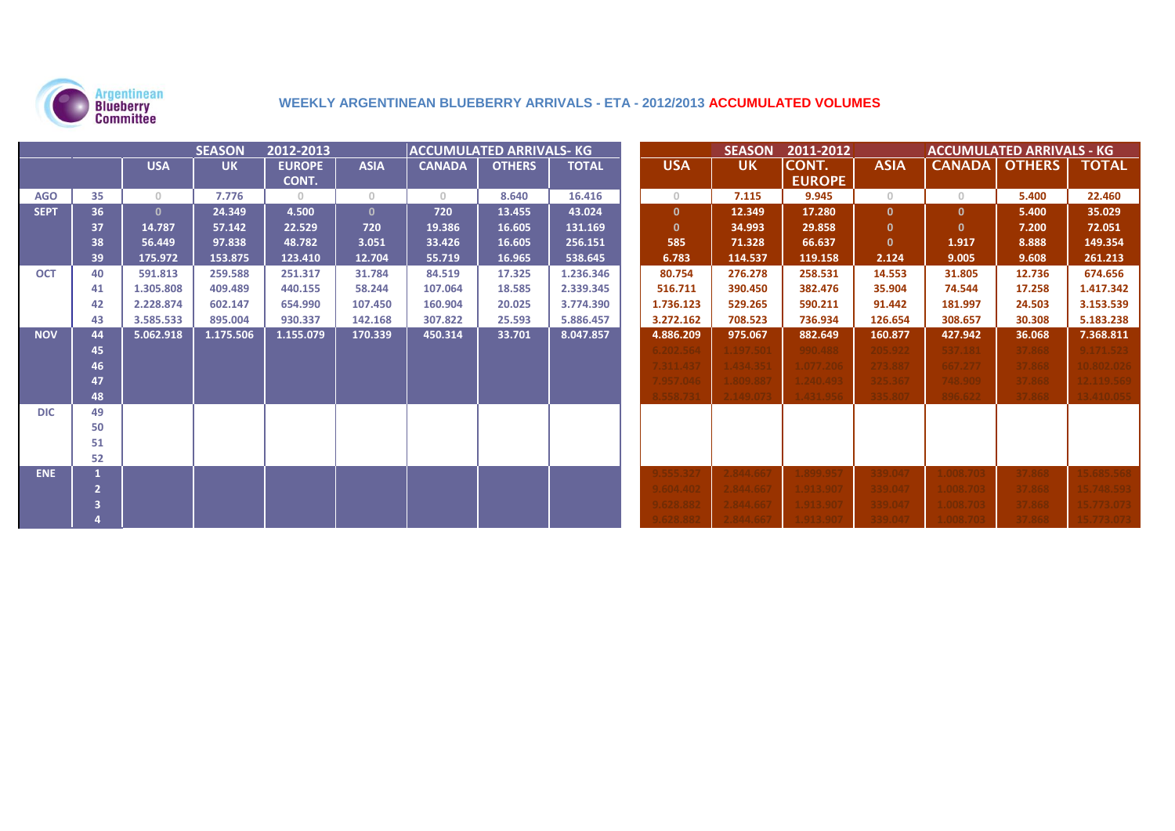

### **WEEKLY ARGENTINEAN BLUEBERRY ARRIVALS - ETA - 2012/2013 ACCUMULATED VOLUMES**

| <b>SEASON</b><br>ACCUMULATED ARRIVALS- KG<br>2012-2013 |    |              |           |               |              |               |               | <b>SEASON</b><br>2011-2012<br><b>ACCUMULATED ARRIVALS - KG</b> |              |           |               |                |               |               |              |
|--------------------------------------------------------|----|--------------|-----------|---------------|--------------|---------------|---------------|----------------------------------------------------------------|--------------|-----------|---------------|----------------|---------------|---------------|--------------|
|                                                        |    | <b>USA</b>   | <b>UK</b> | <b>EUROPE</b> | <b>ASIA</b>  | <b>CANADA</b> | <b>OTHERS</b> | <b>TOTAL</b>                                                   | <b>USA</b>   | <b>UK</b> | CONT.         | <b>ASIA</b>    | <b>CANADA</b> | <b>OTHERS</b> | <b>TOTAL</b> |
|                                                        |    |              |           | CONT.         |              |               |               |                                                                |              |           | <b>EUROPE</b> |                |               |               |              |
| <b>AGO</b>                                             | 35 | $\circ$      | 7.776     | $\circ$       | $\circ$      | $\circ$       | 8.640         | 16.416                                                         | $\circ$      | 7.115     | 9.945         | $\overline{0}$ | $\circ$       | 5.400         | 22.460       |
| <b>SEPT</b>                                            | 36 | $\mathbf{0}$ | 24.349    | 4.500         | $\mathbf{0}$ | 720           | 13.455        | 43.024                                                         | $\mathbf{0}$ | 12.349    | 17.280        | $\mathbf{0}$   | $\mathbf{0}$  | 5.400         | 35.029       |
|                                                        | 37 | 14.787       | 57.142    | 22.529        | 720          | 19.386        | 16.605        | 131.169                                                        | $\mathbf{0}$ | 34.993    | 29.858        | $\mathbf{0}$   | $\mathbf{0}$  | 7.200         | 72.051       |
|                                                        | 38 | 56.449       | 97.838    | 48.782        | 3.051        | 33.426        | 16.605        | 256.151                                                        | 585          | 71.328    | 66.637        | $\mathbf{0}$   | 1.917         | 8.888         | 149.354      |
|                                                        | 39 | 175.972      | 153.875   | 123.410       | 12.704       | 55.719        | 16.965        | 538.645                                                        | 6.783        | 114.537   | 119.158       | 2.124          | 9.005         | 9.608         | 261.213      |
| <b>OCT</b>                                             | 40 | 591.813      | 259.588   | 251.317       | 31.784       | 84.519        | 17.325        | 1.236.346                                                      | 80.754       | 276.278   | 258.531       | 14.553         | 31.805        | 12.736        | 674.656      |
|                                                        | 41 | 1.305.808    | 409.489   | 440.155       | 58.244       | 107.064       | 18.585        | 2.339.345                                                      | 516.711      | 390.450   | 382.476       | 35.904         | 74.544        | 17.258        | 1.417.342    |
|                                                        | 42 | 2.228.874    | 602.147   | 654.990       | 107.450      | 160.904       | 20.025        | 3.774.390                                                      | 1.736.123    | 529.265   | 590.211       | 91.442         | 181.997       | 24.503        | 3.153.539    |
|                                                        | 43 | 3.585.533    | 895.004   | 930.337       | 142.168      | 307.822       | 25.593        | 5.886.457                                                      | 3.272.162    | 708.523   | 736.934       | 126.654        | 308.657       | 30.308        | 5.183.238    |
| <b>NOV</b>                                             | 44 | 5.062.918    | 1.175.506 | 1.155.079     | 170.339      | 450.314       | 33.701        | 8.047.857                                                      | 4.886.209    | 975.067   | 882.649       | 160.877        | 427.942       | 36.068        | 7.368.811    |
|                                                        | 45 |              |           |               |              |               |               |                                                                | .202.564     | 1.197.501 | 990.488       | 205.922        | 537.181       | 37.868        | 9.171.523    |
|                                                        | 46 |              |           |               |              |               |               |                                                                | 311.437      | 1.434.351 | 1.077.206     | 273.887        | 667.277       | 37.868        | 10.802.026   |
|                                                        | 47 |              |           |               |              |               |               |                                                                | .957.046     | 809.887   | 1.240.493     | 325.367        | 748.909       | 37.868        |              |
|                                                        | 48 |              |           |               |              |               |               |                                                                | 558.73       | 149.073   |               | 335.807        | 896.622       | 37.868        |              |
| <b>DIC</b>                                             | 49 |              |           |               |              |               |               |                                                                |              |           |               |                |               |               |              |
|                                                        | 50 |              |           |               |              |               |               |                                                                |              |           |               |                |               |               |              |
|                                                        | 51 |              |           |               |              |               |               |                                                                |              |           |               |                |               |               |              |
|                                                        | 52 |              |           |               |              |               |               |                                                                |              |           |               |                |               |               |              |
| <b>ENE</b>                                             |    |              |           |               |              |               |               |                                                                |              |           | 0.899.951     | 339.04         |               |               |              |
|                                                        |    |              |           |               |              |               |               |                                                                | 604.402      | 2.844.667 | 1.913.907     | 339.047        | 1.008.70      | 37.868        |              |
|                                                        |    |              |           |               |              |               |               |                                                                |              |           | 1.913.907     | 339.04         |               | 37.868        |              |
|                                                        |    |              |           |               |              |               |               |                                                                |              |           |               |                |               |               |              |